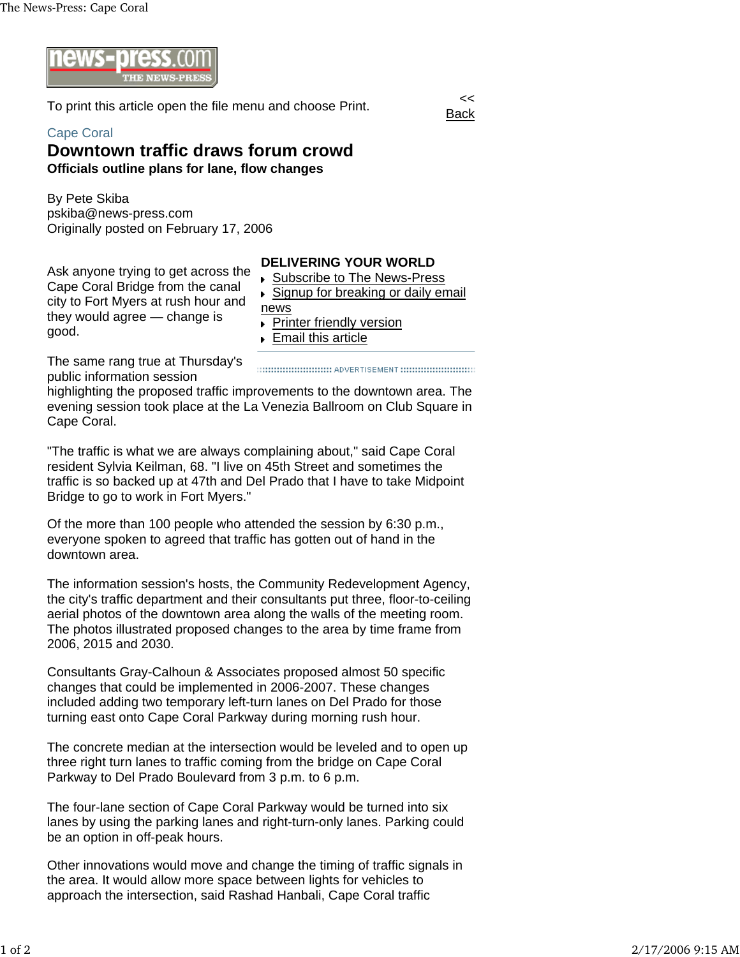

To print this article open the file menu and choose Print.

## Cape Coral

## **Downtown traffic draws forum crowd Officials outline plans for lane, flow changes**

By Pete Skiba pskiba@news-press.com Originally posted on February 17, 2006

Ask anyone trying to get across the Cape Coral Bridge from the canal city to Fort Myers at rush hour and they would agree — change is good.

## **DELIVERING YOUR WORLD**

- Subscribe to The News-Press
- ▶ Signup for breaking or daily email news

Back

- **Printer friendly version**
- ▶ Email this article

The same rang true at Thursday's public information session

highlighting the proposed traffic improvements to the downtown area. The evening session took place at the La Venezia Ballroom on Club Square in Cape Coral.

"The traffic is what we are always complaining about," said Cape Coral resident Sylvia Keilman, 68. "I live on 45th Street and sometimes the traffic is so backed up at 47th and Del Prado that I have to take Midpoint Bridge to go to work in Fort Myers."

Of the more than 100 people who attended the session by 6:30 p.m., everyone spoken to agreed that traffic has gotten out of hand in the downtown area.

The information session's hosts, the Community Redevelopment Agency, the city's traffic department and their consultants put three, floor-to-ceiling aerial photos of the downtown area along the walls of the meeting room. The photos illustrated proposed changes to the area by time frame from 2006, 2015 and 2030.

Consultants Gray-Calhoun & Associates proposed almost 50 specific changes that could be implemented in 2006-2007. These changes included adding two temporary left-turn lanes on Del Prado for those turning east onto Cape Coral Parkway during morning rush hour.

The concrete median at the intersection would be leveled and to open up three right turn lanes to traffic coming from the bridge on Cape Coral Parkway to Del Prado Boulevard from 3 p.m. to 6 p.m.

The four-lane section of Cape Coral Parkway would be turned into six lanes by using the parking lanes and right-turn-only lanes. Parking could be an option in off-peak hours.

Other innovations would move and change the timing of traffic signals in the area. It would allow more space between lights for vehicles to approach the intersection, said Rashad Hanbali, Cape Coral traffic